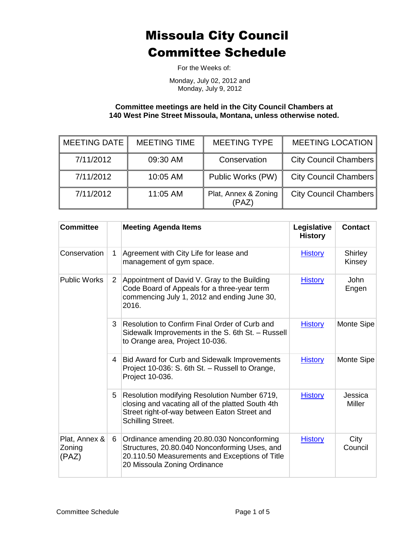For the Weeks of:

Monday, July 02, 2012 and Monday, July 9, 2012

**Committee meetings are held in the City Council Chambers at 140 West Pine Street Missoula, Montana, unless otherwise noted.**

| <b>MEETING DATE</b> | <b>MEETING TIME</b> | <b>MEETING TYPE</b>           | <b>MEETING LOCATION</b>      |
|---------------------|---------------------|-------------------------------|------------------------------|
| 7/11/2012           | 09:30 AM            | Conservation                  | <b>City Council Chambers</b> |
| 7/11/2012           | 10:05 AM            | Public Works (PW)             | <b>City Council Chambers</b> |
| 7/11/2012           | 11:05 AM            | Plat, Annex & Zoning<br>(PAZ) | <b>City Council Chambers</b> |

| <b>Committee</b>                 |                | <b>Meeting Agenda Items</b>                                                                                                                                                   | Legislative<br><b>History</b> | <b>Contact</b>           |
|----------------------------------|----------------|-------------------------------------------------------------------------------------------------------------------------------------------------------------------------------|-------------------------------|--------------------------|
| Conservation                     | 1              | Agreement with City Life for lease and<br>management of gym space.                                                                                                            | <b>History</b>                | Shirley<br>Kinsey        |
| <b>Public Works</b>              | $\overline{2}$ | Appointment of David V. Gray to the Building<br>Code Board of Appeals for a three-year term<br>commencing July 1, 2012 and ending June 30,<br>2016.                           | <b>History</b>                | <b>John</b><br>Engen     |
|                                  | 3              | Resolution to Confirm Final Order of Curb and<br>Sidewalk Improvements in the S. 6th St. - Russell<br>to Orange area, Project 10-036.                                         | <b>History</b>                | Monte Sipe               |
|                                  | 4 <sup>1</sup> | Bid Award for Curb and Sidewalk Improvements<br>Project 10-036: S. 6th St. - Russell to Orange,<br>Project 10-036.                                                            | <b>History</b>                | Monte Sipe               |
|                                  | 5              | Resolution modifying Resolution Number 6719,<br>closing and vacating all of the platted South 4th<br>Street right-of-way between Eaton Street and<br><b>Schilling Street.</b> | <b>History</b>                | Jessica<br><b>Miller</b> |
| Plat, Annex &<br>Zoning<br>(PAZ) | 6              | Ordinance amending 20.80.030 Nonconforming<br>Structures, 20.80.040 Nonconforming Uses, and<br>20.110.50 Measurements and Exceptions of Title<br>20 Missoula Zoning Ordinance | <b>History</b>                | City<br>Council          |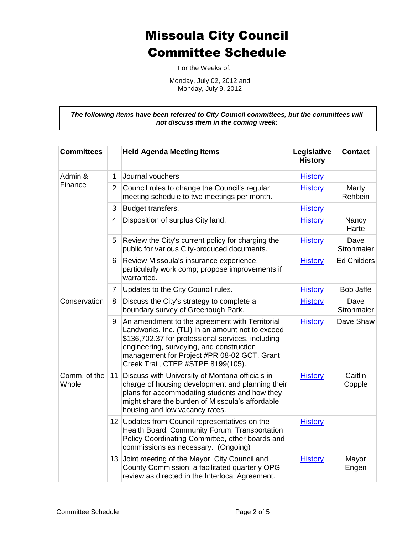For the Weeks of:

Monday, July 02, 2012 and Monday, July 9, 2012

*The following items have been referred to City Council committees, but the committees will not discuss them in the coming week:*

| <b>Committees</b>     |                | <b>Held Agenda Meeting Items</b>                                                                                                                                                                                                                                                         | Legislative<br><b>History</b> | <b>Contact</b>     |
|-----------------------|----------------|------------------------------------------------------------------------------------------------------------------------------------------------------------------------------------------------------------------------------------------------------------------------------------------|-------------------------------|--------------------|
| Admin &<br>Finance    | 1              | Journal vouchers                                                                                                                                                                                                                                                                         | <b>History</b>                |                    |
|                       | $\overline{2}$ | Council rules to change the Council's regular<br>meeting schedule to two meetings per month.                                                                                                                                                                                             | <b>History</b>                | Marty<br>Rehbein   |
|                       | 3              | Budget transfers.                                                                                                                                                                                                                                                                        | <b>History</b>                |                    |
|                       | 4              | Disposition of surplus City land.                                                                                                                                                                                                                                                        | <b>History</b>                | Nancy<br>Harte     |
|                       | 5              | Review the City's current policy for charging the<br>public for various City-produced documents.                                                                                                                                                                                         | <b>History</b>                | Dave<br>Strohmaier |
|                       | 6              | Review Missoula's insurance experience,<br>particularly work comp; propose improvements if<br>warranted.                                                                                                                                                                                 | <b>History</b>                | <b>Ed Childers</b> |
|                       | 7              | Updates to the City Council rules.                                                                                                                                                                                                                                                       | <b>History</b>                | <b>Bob Jaffe</b>   |
| Conservation          | 8              | Discuss the City's strategy to complete a<br>boundary survey of Greenough Park.                                                                                                                                                                                                          | <b>History</b>                | Dave<br>Strohmaier |
|                       | 9              | An amendment to the agreement with Territorial<br>Landworks, Inc. (TLI) in an amount not to exceed<br>\$136,702.37 for professional services, including<br>engineering, surveying, and construction<br>management for Project #PR 08-02 GCT, Grant<br>Creek Trail, CTEP #STPE 8199(105). | <b>History</b>                | Dave Shaw          |
| Comm. of the<br>Whole | 11             | Discuss with University of Montana officials in<br>charge of housing development and planning their<br>plans for accommodating students and how they<br>might share the burden of Missoula's affordable<br>housing and low vacancy rates.                                                | <b>History</b>                | Caitlin<br>Copple  |
|                       |                | 12 Updates from Council representatives on the<br>Health Board, Community Forum, Transportation<br>Policy Coordinating Committee, other boards and<br>commissions as necessary. (Ongoing)                                                                                                | <b>History</b>                |                    |
|                       |                | 13 Joint meeting of the Mayor, City Council and<br>County Commission; a facilitated quarterly OPG<br>review as directed in the Interlocal Agreement.                                                                                                                                     | <b>History</b>                | Mayor<br>Engen     |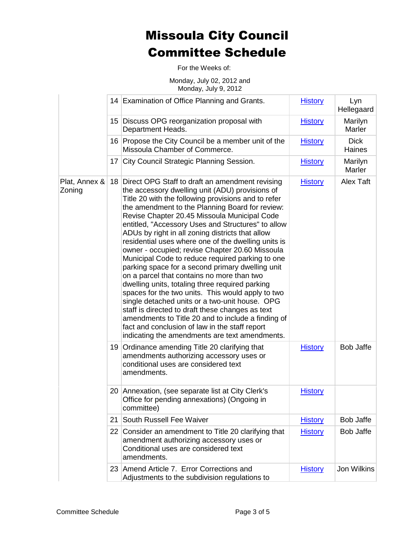For the Weeks of:

Monday, July 02, 2012 and Monday, July 9, 2012

|                         |    | 14 Examination of Office Planning and Grants.                                                                                                                                                                                                                                                                                                                                                                                                                                                                                                                                                                                                                                                                                                                                                                                                                                                                                                                                                                     | <b>History</b> | Lyn<br>Hellegaard        |
|-------------------------|----|-------------------------------------------------------------------------------------------------------------------------------------------------------------------------------------------------------------------------------------------------------------------------------------------------------------------------------------------------------------------------------------------------------------------------------------------------------------------------------------------------------------------------------------------------------------------------------------------------------------------------------------------------------------------------------------------------------------------------------------------------------------------------------------------------------------------------------------------------------------------------------------------------------------------------------------------------------------------------------------------------------------------|----------------|--------------------------|
|                         |    | 15 Discuss OPG reorganization proposal with<br>Department Heads.                                                                                                                                                                                                                                                                                                                                                                                                                                                                                                                                                                                                                                                                                                                                                                                                                                                                                                                                                  | <b>History</b> | Marilyn<br><b>Marler</b> |
|                         |    | 16 Propose the City Council be a member unit of the<br>Missoula Chamber of Commerce.                                                                                                                                                                                                                                                                                                                                                                                                                                                                                                                                                                                                                                                                                                                                                                                                                                                                                                                              | <b>History</b> | <b>Dick</b><br>Haines    |
|                         |    | 17 City Council Strategic Planning Session.                                                                                                                                                                                                                                                                                                                                                                                                                                                                                                                                                                                                                                                                                                                                                                                                                                                                                                                                                                       | <b>History</b> | Marilyn<br>Marler        |
| Plat, Annex &<br>Zoning |    | 18 Direct OPG Staff to draft an amendment revising<br>the accessory dwelling unit (ADU) provisions of<br>Title 20 with the following provisions and to refer<br>the amendment to the Planning Board for review:<br>Revise Chapter 20.45 Missoula Municipal Code<br>entitled, "Accessory Uses and Structures" to allow<br>ADUs by right in all zoning districts that allow<br>residential uses where one of the dwelling units is<br>owner - occupied; revise Chapter 20.60 Missoula<br>Municipal Code to reduce required parking to one<br>parking space for a second primary dwelling unit<br>on a parcel that contains no more than two<br>dwelling units, totaling three required parking<br>spaces for the two units. This would apply to two<br>single detached units or a two-unit house. OPG<br>staff is directed to draft these changes as text<br>amendments to Title 20 and to include a finding of<br>fact and conclusion of law in the staff report<br>indicating the amendments are text amendments. | <b>History</b> | Alex Taft                |
|                         |    | 19 Ordinance amending Title 20 clarifying that<br>amendments authorizing accessory uses or<br>conditional uses are considered text<br>amendments.                                                                                                                                                                                                                                                                                                                                                                                                                                                                                                                                                                                                                                                                                                                                                                                                                                                                 | <b>History</b> | <b>Bob Jaffe</b>         |
|                         |    | 20   Annexation, (see separate list at City Clerk's<br>Office for pending annexations) (Ongoing in<br>committee)                                                                                                                                                                                                                                                                                                                                                                                                                                                                                                                                                                                                                                                                                                                                                                                                                                                                                                  | <b>History</b> |                          |
|                         | 21 | South Russell Fee Waiver                                                                                                                                                                                                                                                                                                                                                                                                                                                                                                                                                                                                                                                                                                                                                                                                                                                                                                                                                                                          | <b>History</b> | <b>Bob Jaffe</b>         |
|                         |    | 22 Consider an amendment to Title 20 clarifying that<br>amendment authorizing accessory uses or<br>Conditional uses are considered text<br>amendments.                                                                                                                                                                                                                                                                                                                                                                                                                                                                                                                                                                                                                                                                                                                                                                                                                                                            | <b>History</b> | Bob Jaffe                |
|                         |    | 23 Amend Article 7. Error Corrections and<br>Adjustments to the subdivision regulations to                                                                                                                                                                                                                                                                                                                                                                                                                                                                                                                                                                                                                                                                                                                                                                                                                                                                                                                        | <b>History</b> | Jon Wilkins              |